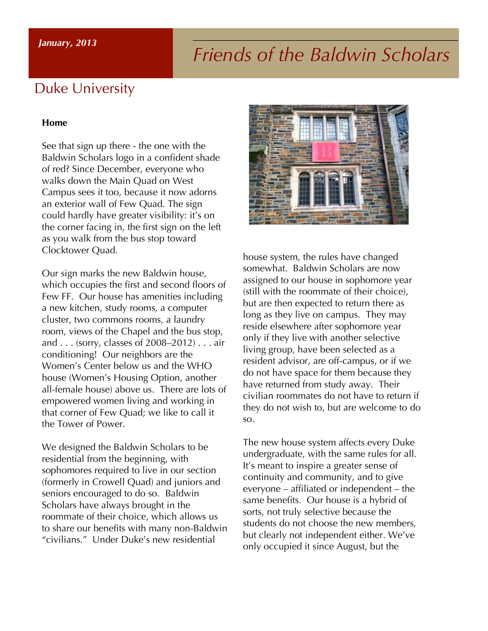# *Friends of the Baldwin Scholars January, <sup>2013</sup>*

### Duke University

#### **Home**

See that sign up there - the one with the Baldwin Scholars logo in a confident shade of red? Since December, everyone who walks down the Main Quad on West Campus sees it too, because it now adorns an exterior wall of Few Quad. The sign could hardly have greater visibility: it's on the corner facing in, the first sign on the left as you walk from the bus stop toward Clocktower Quad.

Our sign marks the new Baldwin house, which occupies the first and second floors of Few FF. Our house has amenities including a new kitchen, study rooms, a computer cluster, two commons rooms, a laundry room, views of the Chapel and the bus stop, and . . . (sorry, classes of 2008–2012) . . . air conditioning! Our neighbors are the Women's Center below us and the WHO house (Women's Housing Option, another all-female house) above us. There are lots of empowered women living and working in that corner of Few Quad; we like to call it the Tower of Power.

We designed the Baldwin Scholars to be residential from the beginning, with sophomores required to live in our section (formerly in Crowell Quad) and juniors and seniors encouraged to do so. Baldwin Scholars have always brought in the roommate of their choice, which allows us to share our benefits with many non-Baldwin "civilians." Under Duke's new residential



house system, the rules have changed somewhat. Baldwin Scholars are now assigned to our house in sophomore year (still with the roommate of their choice), but are then expected to return there as long as they live on campus. They may reside elsewhere after sophomore year only if they live with another selective living group, have been selected as a resident advisor, are off-campus, or if we do not have space for them because they have returned from study away. Their civilian roommates do not have to return if they do not wish to, but are welcome to do so.

The new house system affects every Duke undergraduate, with the same rules for all. It's meant to inspire a greater sense of continuity and community, and to give everyone – affiliated or independent – the same benefits. Our house is a hybrid of sorts, not truly selective because the students do not choose the new members, but clearly not independent either. We've only occupied it since August, but the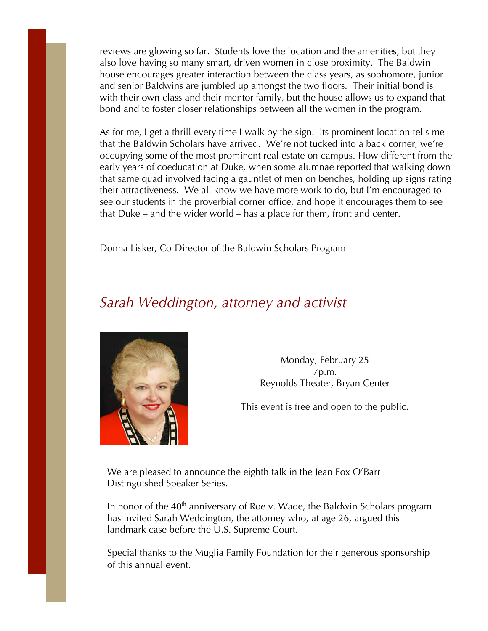reviews are glowing so far. Students love the location and the amenities, but they also love having so many smart, driven women in close proximity. The Baldwin house encourages greater interaction between the class years, as sophomore, junior and senior Baldwins are jumbled up amongst the two floors. Their initial bond is with their own class and their mentor family, but the house allows us to expand that bond and to foster closer relationships between all the women in the program.

As for me, I get a thrill every time I walk by the sign. Its prominent location tells me that the Baldwin Scholars have arrived. We're not tucked into a back corner; we're occupying some of the most prominent real estate on campus. How different from the early years of coeducation at Duke, when some alumnae reported that walking down that same quad involved facing a gauntlet of men on benches, holding up signs rating their attractiveness. We all know we have more work to do, but I'm encouraged to see our students in the proverbial corner office, and hope it encourages them to see that Duke – and the wider world – has a place for them, front and center.

Donna Lisker, Co-Director of the Baldwin Scholars Program

### *Sarah Weddington, attorney and activist*



Monday, February 25 7p.m. Reynolds Theater, Bryan Center

This event is free and open to the public.

We are pleased to announce the eighth talk in the Jean Fox O'Barr Distinguished Speaker Series.

In honor of the  $40<sup>th</sup>$  anniversary of Roe v. Wade, the Baldwin Scholars program has invited Sarah Weddington, the attorney who, at age 26, argued this landmark case before the U.S. Supreme Court.

Special thanks to the Muglia Family Foundation for their generous sponsorship of this annual event.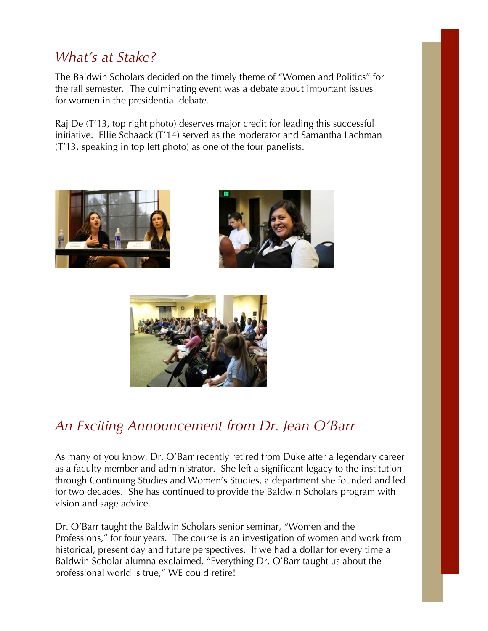### *What's at Stake?*

The Baldwin Scholars decided on the timely theme of "Women and Politics" for the fall semester. The culminating event was a debate about important issues for women in the presidential debate.

Raj De (T'13, top right photo) deserves major credit for leading this successful initiative. Ellie Schaack (T'14) served as the moderator and Samantha Lachman (T'13, speaking in top left photo) as one of the four panelists.







### *An Exciting Announcement from Dr. Jean O'Barr*

As many of you know, Dr. O'Barr recently retired from Duke after a legendary career as a faculty member and administrator. She left a significant legacy to the institution through Continuing Studies and Women's Studies, a department she founded and led for two decades. She has continued to provide the Baldwin Scholars program with vision and sage advice.

Dr. O'Barr taught the Baldwin Scholars senior seminar, "Women and the Professions," for four years. The course is an investigation of women and work from historical, present day and future perspectives. If we had a dollar for every time a Baldwin Scholar alumna exclaimed, "Everything Dr. O'Barr taught us about the professional world is true," WE could retire!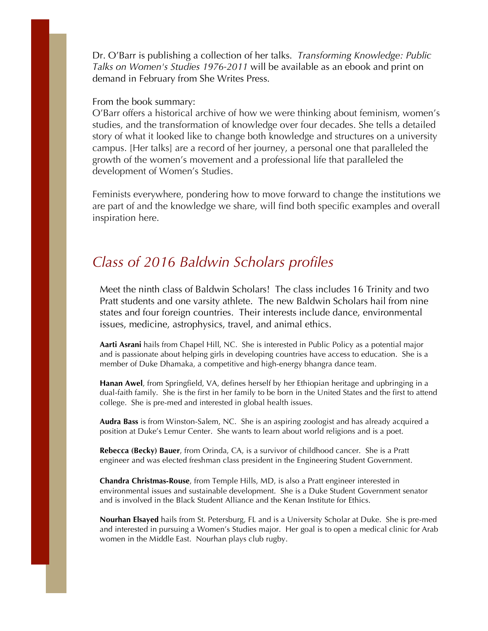Dr. O'Barr is publishing a collection of her talks. *Transforming Knowledge: Public Talks on Women's Studies 1976-2011* will be available as an ebook and print on demand in February from She Writes Press.

#### From the book summary:

O'Barr offers a historical archive of how we were thinking about feminism, women's studies, and the transformation of knowledge over four decades. She tells a detailed story of what it looked like to change both knowledge and structures on a university campus. [Her talks] are a record of her journey, a personal one that paralleled the growth of the women's movement and a professional life that paralleled the development of Women's Studies.

Feminists everywhere, pondering how to move forward to change the institutions we are part of and the knowledge we share, will find both specific examples and overall inspiration here.

### *Class of 2016 Baldwin Scholars profiles*

Meet the ninth class of Baldwin Scholars! The class includes 16 Trinity and two Pratt students and one varsity athlete. The new Baldwin Scholars hail from nine states and four foreign countries. Their interests include dance, environmental issues, medicine, astrophysics, travel, and animal ethics.

**Aarti Asrani** hails from Chapel Hill, NC. She is interested in Public Policy as a potential major and is passionate about helping girls in developing countries have access to education. She is a member of Duke Dhamaka, a competitive and high-energy bhangra dance team.

**Hanan Awel**, from Springfield, VA, defines herself by her Ethiopian heritage and upbringing in a dual-faith family. She is the first in her family to be born in the United States and the first to attend college. She is pre-med and interested in global health issues.

**Audra Bass** is from Winston-Salem, NC. She is an aspiring zoologist and has already acquired a position at Duke's Lemur Center. She wants to learn about world religions and is a poet.

**Rebecca (Becky) Bauer**, from Orinda, CA, is a survivor of childhood cancer. She is a Pratt engineer and was elected freshman class president in the Engineering Student Government.

**Chandra Christmas-Rouse**, from Temple Hills, MD, is also a Pratt engineer interested in environmental issues and sustainable development. She is a Duke Student Government senator and is involved in the Black Student Alliance and the Kenan Institute for Ethics.

**Nourhan Elsayed** hails from St. Petersburg, FL and is a University Scholar at Duke. She is pre-med and interested in pursuing a Women's Studies major. Her goal is to open a medical clinic for Arab women in the Middle East. Nourhan plays club rugby.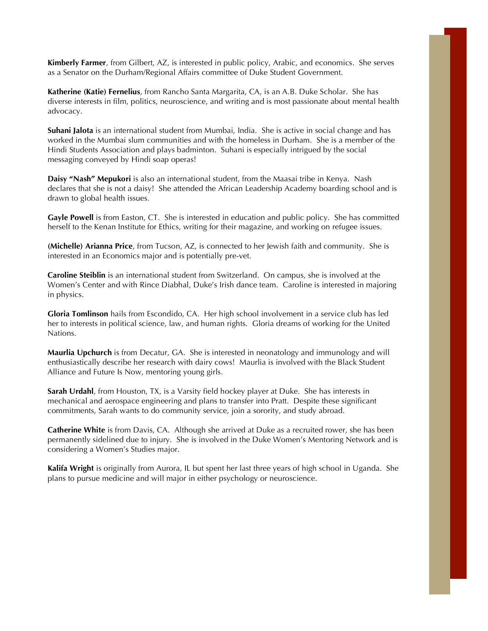**Kimberly Farmer**, from Gilbert, AZ, is interested in public policy, Arabic, and economics. She serves as a Senator on the Durham/Regional Affairs committee of Duke Student Government.

**Katherine (Katie) Fernelius**, from Rancho Santa Margarita, CA, is an A.B. Duke Scholar. She has diverse interests in film, politics, neuroscience, and writing and is most passionate about mental health advocacy.

**Suhani Jalota** is an international student from Mumbai, India. She is active in social change and has worked in the Mumbai slum communities and with the homeless in Durham. She is a member of the Hindi Students Association and plays badminton. Suhani is especially intrigued by the social messaging conveyed by Hindi soap operas!

**Daisy "Nash" Mepukori** is also an international student, from the Maasai tribe in Kenya. Nash declares that she is not a daisy! She attended the African Leadership Academy boarding school and is drawn to global health issues.

**Gayle Powell** is from Easton, CT. She is interested in education and public policy. She has committed herself to the Kenan Institute for Ethics, writing for their magazine, and working on refugee issues.

**(Michelle) Arianna Price**, from Tucson, AZ, is connected to her Jewish faith and community. She is interested in an Economics major and is potentially pre-vet.

**Caroline Steiblin** is an international student from Switzerland. On campus, she is involved at the Women's Center and with Rince Diabhal, Duke's Irish dance team. Caroline is interested in majoring in physics.

**Gloria Tomlinson** hails from Escondido, CA. Her high school involvement in a service club has led her to interests in political science, law, and human rights. Gloria dreams of working for the United Nations.

**Maurlia Upchurch** is from Decatur, GA. She is interested in neonatology and immunology and will enthusiastically describe her research with dairy cows! Maurlia is involved with the Black Student Alliance and Future Is Now, mentoring young girls.

**Sarah Urdahl**, from Houston, TX, is a Varsity field hockey player at Duke. She has interests in mechanical and aerospace engineering and plans to transfer into Pratt. Despite these significant commitments, Sarah wants to do community service, join a sorority, and study abroad.

**Catherine White** is from Davis, CA. Although she arrived at Duke as a recruited rower, she has been permanently sidelined due to injury. She is involved in the Duke Women's Mentoring Network and is considering a Women's Studies major.

**Kalifa Wright** is originally from Aurora, IL but spent her last three years of high school in Uganda. She plans to pursue medicine and will major in either psychology or neuroscience.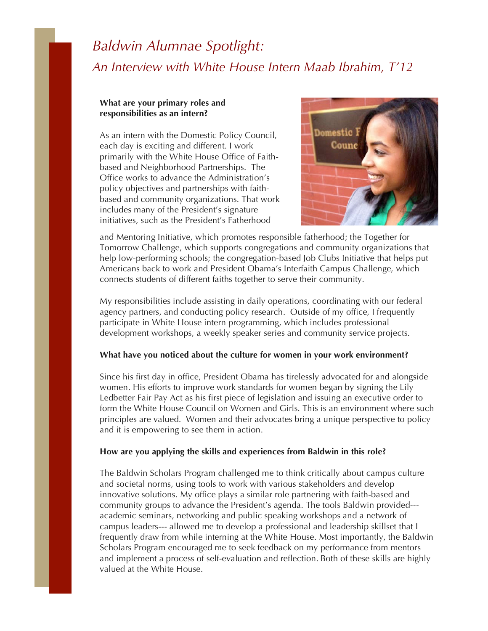## *Baldwin Alumnae Spotlight: An Interview with White House Intern Maab Ibrahim, T'12*

#### **What are your primary roles and responsibilities as an intern?**

As an intern with the Domestic Policy Council, each day is exciting and different. I work primarily with the White House Office of Faithbased and Neighborhood Partnerships. The Office works to advance the Administration's policy objectives and partnerships with faithbased and community organizations. That work includes many of the President's signature initiatives, such as the President's Fatherhood



and Mentoring Initiative, which promotes responsible fatherhood; the Together for Tomorrow Challenge, which supports congregations and community organizations that help low-performing schools; the congregation-based Job Clubs Initiative that helps put Americans back to work and President Obama's Interfaith Campus Challenge, which connects students of different faiths together to serve their community.

My responsibilities include assisting in daily operations, coordinating with our federal agency partners, and conducting policy research. Outside of my office, I frequently participate in White House intern programming, which includes professional development workshops, a weekly speaker series and community service projects.

#### **What have you noticed about the culture for women in your work environment?**

Since his first day in office, President Obama has tirelessly advocated for and alongside women. His efforts to improve work standards for women began by signing the Lily Ledbetter Fair Pay Act as his first piece of legislation and issuing an executive order to form the White House Council on Women and Girls. This is an environment where such principles are valued. Women and their advocates bring a unique perspective to policy and it is empowering to see them in action.

#### **How are you applying the skills and experiences from Baldwin in this role?**

The Baldwin Scholars Program challenged me to think critically about campus culture and societal norms, using tools to work with various stakeholders and develop innovative solutions. My office plays a similar role partnering with faith-based and community groups to advance the President's agenda. The tools Baldwin provided-- academic seminars, networking and public speaking workshops and a network of campus leaders--- allowed me to develop a professional and leadership skillset that I frequently draw from while interning at the White House. Most importantly, the Baldwin Scholars Program encouraged me to seek feedback on my performance from mentors and implement a process of self-evaluation and reflection. Both of these skills are highly valued at the White House.